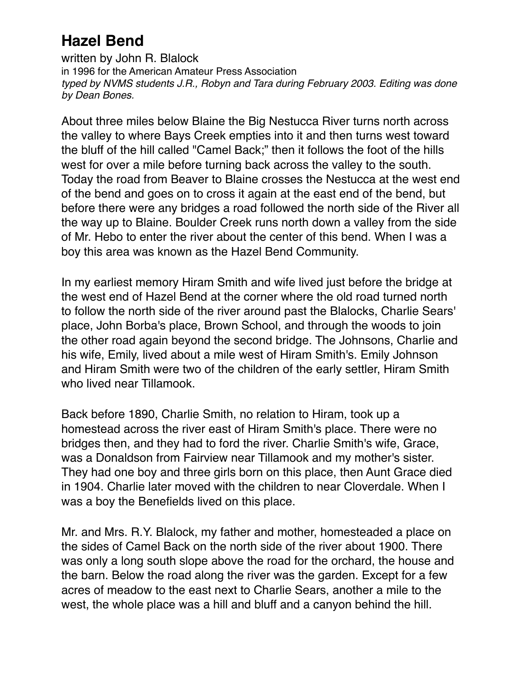written by John R. Blalock in 1996 for the American Amateur Press Association *typed by NVMS students J.R., Robyn and Tara during February 2003. Editing was done by Dean Bones.*

About three miles below Blaine the Big Nestucca River turns north across the valley to where Bays Creek empties into it and then turns west toward the bluff of the hill called "Camel Back;" then it follows the foot of the hills west for over a mile before turning back across the valley to the south. Today the road from Beaver to Blaine crosses the Nestucca at the west end of the bend and goes on to cross it again at the east end of the bend, but before there were any bridges a road followed the north side of the River all the way up to Blaine. Boulder Creek runs north down a valley from the side of Mr. Hebo to enter the river about the center of this bend. When I was a boy this area was known as the Hazel Bend Community.

In my earliest memory Hiram Smith and wife lived just before the bridge at the west end of Hazel Bend at the corner where the old road turned north to follow the north side of the river around past the Blalocks, Charlie Sears' place, John Borba's place, Brown School, and through the woods to join the other road again beyond the second bridge. The Johnsons, Charlie and his wife, Emily, lived about a mile west of Hiram Smith's. Emily Johnson and Hiram Smith were two of the children of the early settler, Hiram Smith who lived near Tillamook.

Back before 1890, Charlie Smith, no relation to Hiram, took up a homestead across the river east of Hiram Smith's place. There were no bridges then, and they had to ford the river. Charlie Smith's wife, Grace, was a Donaldson from Fairview near Tillamook and my mother's sister. They had one boy and three girls born on this place, then Aunt Grace died in 1904. Charlie later moved with the children to near Cloverdale. When I was a boy the Benefields lived on this place.

Mr. and Mrs. R.Y. Blalock, my father and mother, homesteaded a place on the sides of Camel Back on the north side of the river about 1900. There was only a long south slope above the road for the orchard, the house and the barn. Below the road along the river was the garden. Except for a few acres of meadow to the east next to Charlie Sears, another a mile to the west, the whole place was a hill and bluff and a canyon behind the hill.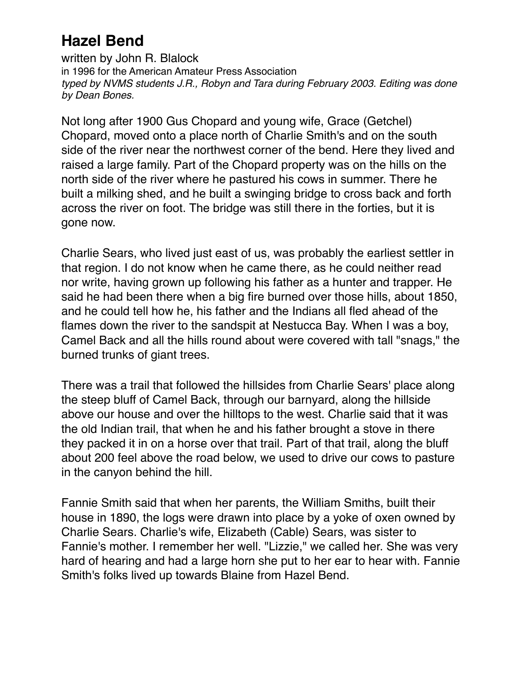written by John R. Blalock in 1996 for the American Amateur Press Association *typed by NVMS students J.R., Robyn and Tara during February 2003. Editing was done by Dean Bones.*

Not long after 1900 Gus Chopard and young wife, Grace (Getchel) Chopard, moved onto a place north of Charlie Smith's and on the south side of the river near the northwest corner of the bend. Here they lived and raised a large family. Part of the Chopard property was on the hills on the north side of the river where he pastured his cows in summer. There he built a milking shed, and he built a swinging bridge to cross back and forth across the river on foot. The bridge was still there in the forties, but it is gone now.

Charlie Sears, who lived just east of us, was probably the earliest settler in that region. I do not know when he came there, as he could neither read nor write, having grown up following his father as a hunter and trapper. He said he had been there when a big fire burned over those hills, about 1850, and he could tell how he, his father and the Indians all fled ahead of the flames down the river to the sandspit at Nestucca Bay. When I was a boy, Camel Back and all the hills round about were covered with tall "snags," the burned trunks of giant trees.

There was a trail that followed the hillsides from Charlie Sears' place along the steep bluff of Camel Back, through our barnyard, along the hillside above our house and over the hilltops to the west. Charlie said that it was the old Indian trail, that when he and his father brought a stove in there they packed it in on a horse over that trail. Part of that trail, along the bluff about 200 feel above the road below, we used to drive our cows to pasture in the canyon behind the hill.

Fannie Smith said that when her parents, the William Smiths, built their house in 1890, the logs were drawn into place by a yoke of oxen owned by Charlie Sears. Charlie's wife, Elizabeth (Cable) Sears, was sister to Fannie's mother. I remember her well. "Lizzie," we called her. She was very hard of hearing and had a large horn she put to her ear to hear with. Fannie Smith's folks lived up towards Blaine from Hazel Bend.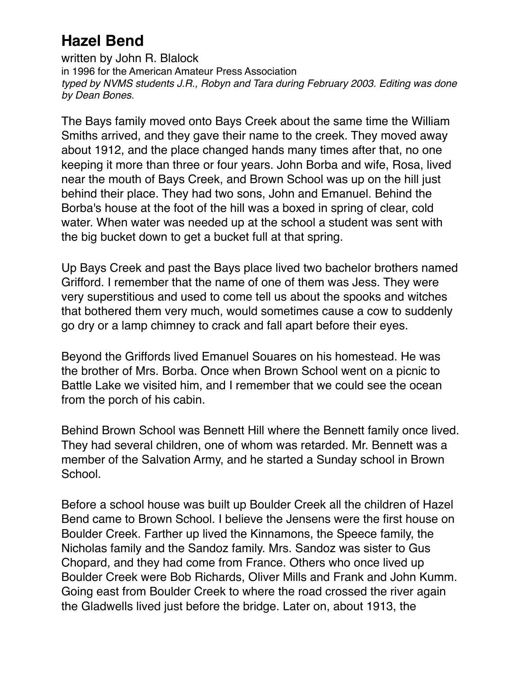written by John R. Blalock in 1996 for the American Amateur Press Association *typed by NVMS students J.R., Robyn and Tara during February 2003. Editing was done by Dean Bones.*

The Bays family moved onto Bays Creek about the same time the William Smiths arrived, and they gave their name to the creek. They moved away about 1912, and the place changed hands many times after that, no one keeping it more than three or four years. John Borba and wife, Rosa, lived near the mouth of Bays Creek, and Brown School was up on the hill just behind their place. They had two sons, John and Emanuel. Behind the Borba's house at the foot of the hill was a boxed in spring of clear, cold water. When water was needed up at the school a student was sent with the big bucket down to get a bucket full at that spring.

Up Bays Creek and past the Bays place lived two bachelor brothers named Grifford. I remember that the name of one of them was Jess. They were very superstitious and used to come tell us about the spooks and witches that bothered them very much, would sometimes cause a cow to suddenly go dry or a lamp chimney to crack and fall apart before their eyes.

Beyond the Griffords lived Emanuel Souares on his homestead. He was the brother of Mrs. Borba. Once when Brown School went on a picnic to Battle Lake we visited him, and I remember that we could see the ocean from the porch of his cabin.

Behind Brown School was Bennett Hill where the Bennett family once lived. They had several children, one of whom was retarded. Mr. Bennett was a member of the Salvation Army, and he started a Sunday school in Brown School.

Before a school house was built up Boulder Creek all the children of Hazel Bend came to Brown School. I believe the Jensens were the first house on Boulder Creek. Farther up lived the Kinnamons, the Speece family, the Nicholas family and the Sandoz family. Mrs. Sandoz was sister to Gus Chopard, and they had come from France. Others who once lived up Boulder Creek were Bob Richards, Oliver Mills and Frank and John Kumm. Going east from Boulder Creek to where the road crossed the river again the Gladwells lived just before the bridge. Later on, about 1913, the